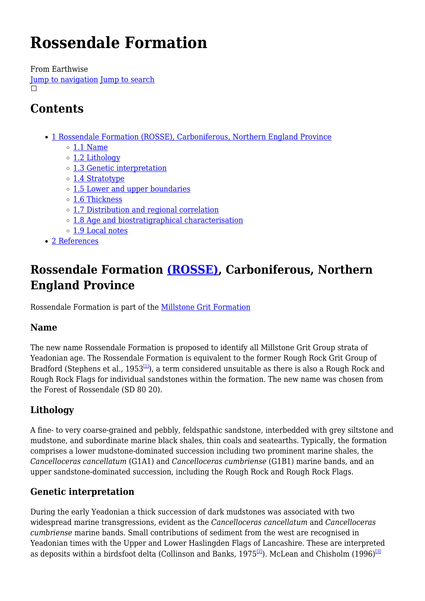# **Rossendale Formation**

From Earthwise [Jump to navigation](#page--1-0) [Jump to search](#page--1-0)  $\Box$ 

# **Contents**

- [1](#Rossendale_Formation_.28ROSSE.29.2C_Carboniferous.2C_Northern_England_Province) [Rossendale Formation \(ROSSE\), Carboniferous, Northern England Province](#Rossendale_Formation_.28ROSSE.29.2C_Carboniferous.2C_Northern_England_Province)
	- $\circ$  [1.1](#page--1-0) [Name](#page--1-0)
	- [1.2](#page--1-0) [Lithology](#page--1-0)
	- [1.3](#page--1-0) [Genetic interpretation](#page--1-0)
	- [1.4](#page--1-0) [Stratotype](#page--1-0)
	- [1.5](#page--1-0) [Lower and upper boundaries](#page--1-0)
	- [1.6](#page--1-0) [Thickness](#page--1-0)
	- [1.7](#page--1-0) [Distribution and regional correlation](#page--1-0)
	- [1.8](#page--1-0) [Age and biostratigraphical characterisation](#page--1-0)
	- [1.9](#page--1-0) [Local notes](#page--1-0)
- [2](#page--1-0) [References](#page--1-0)

# **Rossendale Formation [\(ROSSE\),](http://www.bgs.ac.uk/lexicon/lexicon.cfm?pub=ROSSE) Carboniferous, Northern England Province**

Rossendale Formation is part of the [Millstone Grit Formation](http://earthwise.bgs.ac.uk/index.php?title=Millstone_Grit_Formation&action=edit&redlink=1)

### **Name**

The new name Rossendale Formation is proposed to identify all Millstone Grit Group strata of Yeadonian age. The Rossendale Formation is equivalent to the former Rough Rock Grit Group of Bradford (Stephens et al.,  $1953^{[1]}$  $1953^{[1]}$  $1953^{[1]}$ ), a term considered unsuitable as there is also a Rough Rock and Rough Rock Flags for individual sandstones within the formation. The new name was chosen from the Forest of Rossendale (SD 80 20).

# **Lithology**

A fine- to very coarse-grained and pebbly, feldspathic sandstone, interbedded with grey siltstone and mudstone, and subordinate marine black shales, thin coals and seatearths. Typically, the formation comprises a lower mudstone-dominated succession including two prominent marine shales, the *Cancelloceras cancellatum* (G1A1) and *Cancelloceras cumbriense* (G1B1) marine bands, and an upper sandstone-dominated succession, including the Rough Rock and Rough Rock Flags.

# **Genetic interpretation**

During the early Yeadonian a thick succession of dark mudstones was associated with two widespread marine transgressions, evident as the *Cancelloceras cancellatum* and *Cancelloceras cumbriense* marine bands. Small contributions of sediment from the west are recognised in Yeadonian times with the Upper and Lower Haslingden Flags of Lancashire. These are interpreted as deposits within a birdsfoot delta (Collinson and Banks, 1975<sup>[\[2\]](#page--1-0)</sup>). McLean and Chisholm (1996)<sup>[\[3\]](#page--1-0)</sup>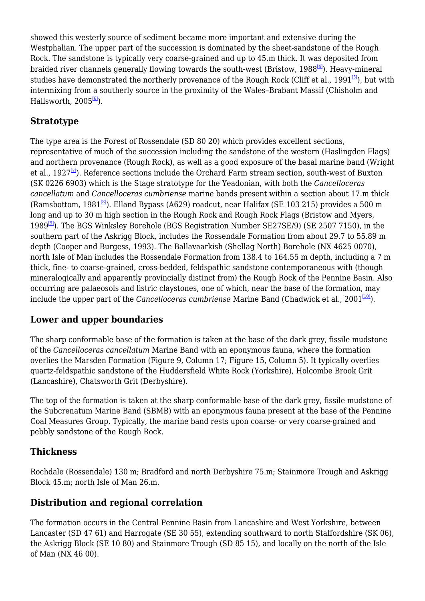showed this westerly source of sediment became more important and extensive during the Westphalian. The upper part of the succession is dominated by the sheet-sandstone of the Rough Rock. The sandstone is typically very coarse-grained and up to 45.m thick. It was deposited from braided river channels generally flowing towards the south-west (Bristow, 1988<sup>[\[4\]](#page--1-0)</sup>). Heavy-mineral studies have demonstrated the northerly provenance of the Rough Rock (Cliff et al.,  $1991^{5}$ ), but with intermixing from a southerly source in the proximity of the Wales–Brabant Massif (Chisholm and Hallsworth,  $2005^{61}$ ).

# **Stratotype**

The type area is the Forest of Rossendale (SD 80 20) which provides excellent sections, representative of much of the succession including the sandstone of the western (Haslingden Flags) and northern provenance (Rough Rock), as well as a good exposure of the basal marine band (Wright et al., 1927 $\frac{7}{2}$ ). Reference sections include the Orchard Farm stream section, south-west of Buxton (SK 0226 6903) which is the Stage stratotype for the Yeadonian, with both the *Cancelloceras cancellatum* and *Cancelloceras cumbriense* marine bands present within a section about 17.m thick (Ramsbottom, 1981<sup>[\[8\]](#page--1-0)</sup>). Elland Bypass (A629) roadcut, near Halifax (SE 103 215) provides a 500 m long and up to 30 m high section in the Rough Rock and Rough Rock Flags (Bristow and Myers, 1989[\[9\]](#page--1-0)). The BGS Winksley Borehole (BGS Registration Number SE27SE/9) (SE 2507 7150), in the southern part of the Askrigg Block, includes the Rossendale Formation from about 29.7 to 55.89 m depth (Cooper and Burgess, 1993). The Ballavaarkish (Shellag North) Borehole (NX 4625 0070), north Isle of Man includes the Rossendale Formation from 138.4 to 164.55 m depth, including a 7 m thick, fine- to coarse-grained, cross-bedded, feldspathic sandstone contemporaneous with (though mineralogically and apparently provincially distinct from) the Rough Rock of the Pennine Basin. Also occurring are palaeosols and listric claystones, one of which, near the base of the formation, may include the upper part of the *Cancelloceras cumbriense* Marine Band (Chadwick et al., 2001<sup>[\[10\]](#page--1-0)</sup>).

# **Lower and upper boundaries**

The sharp conformable base of the formation is taken at the base of the dark grey, fissile mudstone of the *Cancelloceras cancellatum* Marine Band with an eponymous fauna, where the formation overlies the Marsden Formation (Figure 9, Column 17; Figure 15, Column 5). It typically overlies quartz-feldspathic sandstone of the Huddersfield White Rock (Yorkshire), Holcombe Brook Grit (Lancashire), Chatsworth Grit (Derbyshire).

The top of the formation is taken at the sharp conformable base of the dark grey, fissile mudstone of the Subcrenatum Marine Band (SBMB) with an eponymous fauna present at the base of the Pennine Coal Measures Group. Typically, the marine band rests upon coarse- or very coarse-grained and pebbly sandstone of the Rough Rock.

# **Thickness**

Rochdale (Rossendale) 130 m; Bradford and north Derbyshire 75.m; Stainmore Trough and Askrigg Block 45.m; north Isle of Man 26.m.

# **Distribution and regional correlation**

The formation occurs in the Central Pennine Basin from Lancashire and West Yorkshire, between Lancaster (SD 47 61) and Harrogate (SE 30 55), extending southward to north Staffordshire (SK 06), the Askrigg Block (SE 10 80) and Stainmore Trough (SD 85 15), and locally on the north of the Isle of Man (NX 46 00).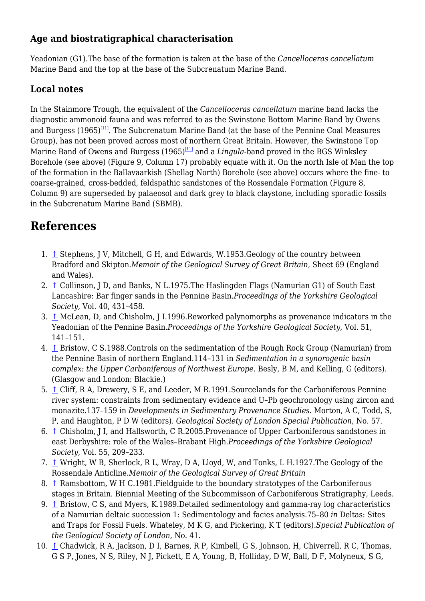### **Age and biostratigraphical characterisation**

Yeadonian (G1).The base of the formation is taken at the base of the *Cancelloceras cancellatum* Marine Band and the top at the base of the Subcrenatum Marine Band.

# **Local notes**

In the Stainmore Trough, the equivalent of the *Cancelloceras cancellatum* marine band lacks the diagnostic ammonoid fauna and was referred to as the Swinstone Bottom Marine Band by Owens and Burgess (1965)<sup>[\[11\]](#page--1-0)</sup>. The Subcrenatum Marine Band (at the base of the Pennine Coal Measures Group), has not been proved across most of northern Great Britain. However, the Swinstone Top Marine Band of Owens and Burgess (1965)<sup>[\[11\]](#page--1-0)</sup> and a *Lingula*-band proved in the BGS Winksley Borehole (see above) (Figure 9, Column 17) probably equate with it. On the north Isle of Man the top of the formation in the Ballavaarkish (Shellag North) Borehole (see above) occurs where the fine- to coarse-grained, cross-bedded, feldspathic sandstones of the Rossendale Formation (Figure 8, Column 9) are superseded by palaeosol and dark grey to black claystone, including sporadic fossils in the Subcrenatum Marine Band (SBMB).

# **References**

- 1. [↑](#page--1-0) Stephens, J V, Mitchell, G H, and Edwards, W.1953.Geology of the country between Bradford and Skipton.*Memoir of the Geological Survey of Great Britain*, Sheet 69 (England and Wales).
- 2. [↑](#page--1-0) Collinson, J D, and Banks, N L.1975.The Haslingden Flags (Namurian G1) of South East Lancashire: Bar finger sands in the Pennine Basin.*Proceedings of the Yorkshire Geological Society*, Vol. 40, 431–458.
- 3. [↑](#page--1-0) McLean, D, and Chisholm, J I.1996.Reworked palynomorphs as provenance indicators in the Yeadonian of the Pennine Basin.*Proceedings of the Yorkshire Geological Society*, Vol. 51, 141–151.
- 4. [↑](#page--1-0) Bristow, C S.1988.Controls on the sedimentation of the Rough Rock Group (Namurian) from the Pennine Basin of northern England.114–131 in *Sedimentation in a synorogenic basin complex: the Upper Carboniferous of Northwest Europe*. Besly, B M, and Kelling, G (editors). (Glasgow and London: Blackie.)
- 5. [↑](#page--1-0) Cliff, R A, Drewery, S E, and Leeder, M R.1991.Sourcelands for the Carboniferous Pennine river system: constraints from sedimentary evidence and U–Pb geochronology using zircon and monazite.137–159 in *Developments in Sedimentary Provenance Studies*. Morton, A C, Todd, S, P, and Haughton, P D W (editors). *Geological Society of London Special Publication*, No. 57.
- 6. [↑](#page--1-0) Chisholm, J I, and Hallsworth, C R.2005.Provenance of Upper Carboniferous sandstones in east Derbyshire: role of the Wales–Brabant High.*Proceedings of the Yorkshire Geological Society*, Vol. 55, 209–233.
- 7. [↑](#page--1-0) Wright, W B, Sherlock, R L, Wray, D A, Lloyd, W, and Tonks, L H.1927. The Geology of the Rossendale Anticline.*Memoir of the Geological Survey of Great Britain*
- 8. [↑](#page--1-0) Ramsbottom, W H C.1981.Fieldguide to the boundary stratotypes of the Carboniferous stages in Britain. Biennial Meeting of the Subcommisson of Carboniferous Stratigraphy, Leeds.
- 9. [↑](#page--1-0) Bristow, C S, and Myers, K.1989.Detailed sedimentology and gamma-ray log characteristics of a Namurian deltaic succession 1: Sedimentology and facies analysis.75–80 *in* Deltas: Sites and Traps for Fossil Fuels. Whateley, M K G, and Pickering, K T (editors).*Special Publication of the Geological Society of London*, No. 41.
- 10. [↑](#page--1-0) Chadwick, R A, Jackson, D I, Barnes, R P, Kimbell, G S, Johnson, H, Chiverrell, R C, Thomas, G S P, Jones, N S, Riley, N J, Pickett, E A, Young, B, Holliday, D W, Ball, D F, Molyneux, S G,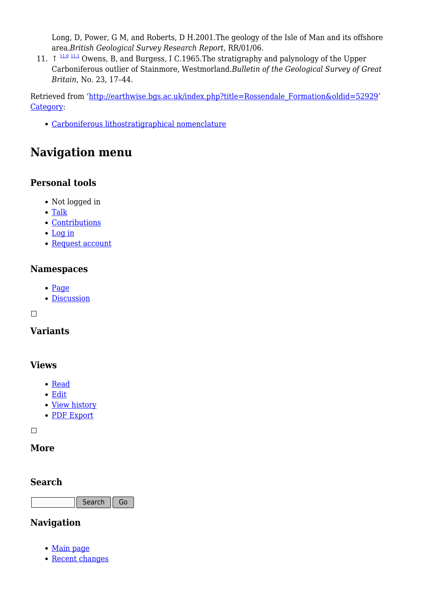Long, D, Power, G M, and Roberts, D H.2001.The geology of the Isle of Man and its offshore area.*British Geological Survey Research Report*, RR/01/06.

11.  $\uparrow$   $\frac{11.0 \text{ }11.1 \text{ }}{11.1 \text{ }0 \text{wens}}$  $\frac{11.0 \text{ }11.1 \text{ }}{11.1 \text{ }0 \text{wens}}$  $\frac{11.0 \text{ }11.1 \text{ }}{11.1 \text{ }0 \text{wens}}$  $\frac{11.0 \text{ }11.1 \text{ }}{11.1 \text{ }0 \text{wens}}$  $\frac{11.0 \text{ }11.1 \text{ }}{11.1 \text{ }0 \text{wens}}$ , B, and Burgess, I C.1965. The stratigraphy and palynology of the Upper Carboniferous outlier of Stainmore, Westmorland.*Bulletin of the Geological Survey of Great Britain*, No. 23, 17–44.

Retrieved from ['http://earthwise.bgs.ac.uk/index.php?title=Rossendale\\_Formation&oldid=52929'](http://earthwise.bgs.ac.uk/index.php?title=Rossendale_Formation&oldid=52929) [Category](http://earthwise.bgs.ac.uk/index.php/Special:Categories):

[Carboniferous lithostratigraphical nomenclature](http://earthwise.bgs.ac.uk/index.php/Category:Carboniferous_lithostratigraphical_nomenclature)

# **Navigation menu**

### **Personal tools**

- Not logged in
- [Talk](http://earthwise.bgs.ac.uk/index.php/Special:MyTalk)
- [Contributions](http://earthwise.bgs.ac.uk/index.php/Special:MyContributions)
- [Log in](http://earthwise.bgs.ac.uk/index.php?title=Special:UserLogin&returnto=Rossendale+Formation&returntoquery=action%3Dmpdf)
- [Request account](http://earthwise.bgs.ac.uk/index.php/Special:RequestAccount)

#### **Namespaces**

- [Page](http://earthwise.bgs.ac.uk/index.php/Rossendale_Formation)
- [Discussion](http://earthwise.bgs.ac.uk/index.php?title=Talk:Rossendale_Formation&action=edit&redlink=1)

 $\Box$ 

### **Variants**

### **Views**

- [Read](http://earthwise.bgs.ac.uk/index.php/Rossendale_Formation)
- [Edit](http://earthwise.bgs.ac.uk/index.php?title=Rossendale_Formation&action=edit)
- [View history](http://earthwise.bgs.ac.uk/index.php?title=Rossendale_Formation&action=history)
- [PDF Export](http://earthwise.bgs.ac.uk/index.php?title=Rossendale_Formation&action=mpdf)

 $\Box$ 

### **More**

#### **Search**

Search Go

### **Navigation**

- [Main page](http://earthwise.bgs.ac.uk/index.php/Main_Page)
- [Recent changes](http://earthwise.bgs.ac.uk/index.php/Special:RecentChanges)